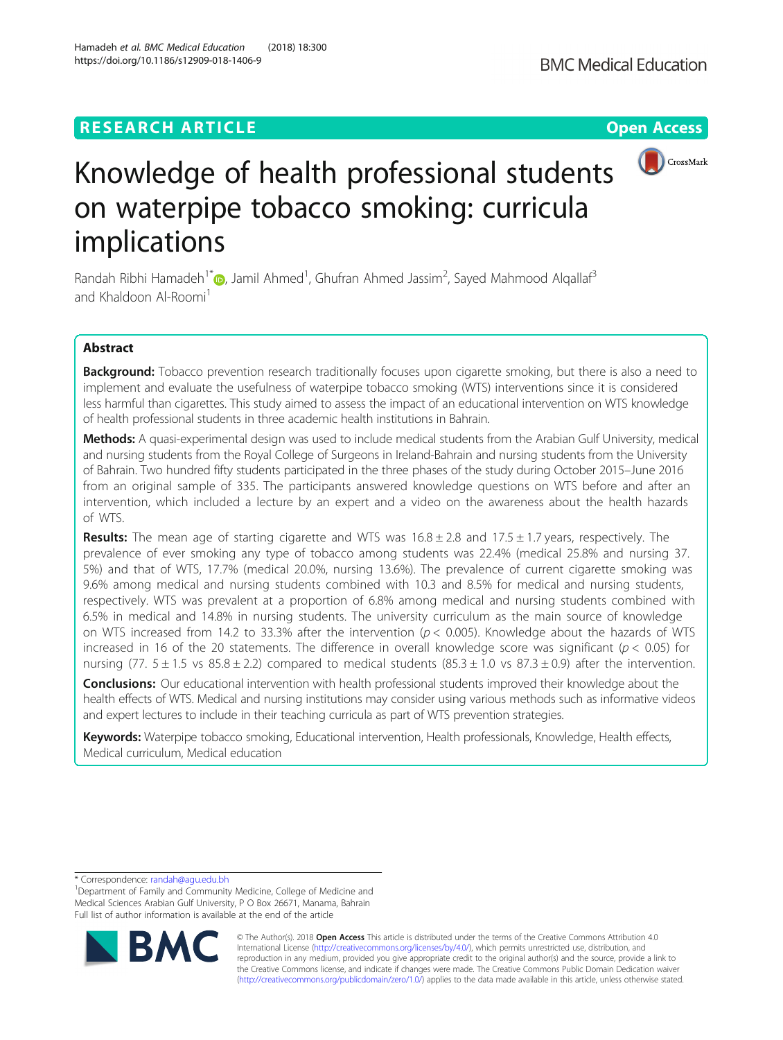# **RESEARCH ARTICLE Example 2018 12:30 THE Open Access**



# Knowledge of health professional students on waterpipe tobacco smoking: curricula implications

Randah Ribhi Hamadeh<sup>1[\\*](http://orcid.org/0000-0002-4205-1354)</sup> (@, Jamil Ahmed<sup>1</sup>, Ghufran Ahmed Jassim<sup>2</sup>, Sayed Mahmood Alqallaf<sup>3</sup> and Khaldoon Al-Roomi<sup>1</sup>

# Abstract

Background: Tobacco prevention research traditionally focuses upon cigarette smoking, but there is also a need to implement and evaluate the usefulness of waterpipe tobacco smoking (WTS) interventions since it is considered less harmful than cigarettes. This study aimed to assess the impact of an educational intervention on WTS knowledge of health professional students in three academic health institutions in Bahrain.

Methods: A quasi-experimental design was used to include medical students from the Arabian Gulf University, medical and nursing students from the Royal College of Surgeons in Ireland-Bahrain and nursing students from the University of Bahrain. Two hundred fifty students participated in the three phases of the study during October 2015–June 2016 from an original sample of 335. The participants answered knowledge questions on WTS before and after an intervention, which included a lecture by an expert and a video on the awareness about the health hazards of WTS.

**Results:** The mean age of starting cigarette and WTS was  $16.8 \pm 2.8$  and  $17.5 \pm 1.7$  years, respectively. The prevalence of ever smoking any type of tobacco among students was 22.4% (medical 25.8% and nursing 37. 5%) and that of WTS, 17.7% (medical 20.0%, nursing 13.6%). The prevalence of current cigarette smoking was 9.6% among medical and nursing students combined with 10.3 and 8.5% for medical and nursing students, respectively. WTS was prevalent at a proportion of 6.8% among medical and nursing students combined with 6.5% in medical and 14.8% in nursing students. The university curriculum as the main source of knowledge on WTS increased from 14.2 to 33.3% after the intervention ( $p < 0.005$ ). Knowledge about the hazards of WTS increased in 16 of the 20 statements. The difference in overall knowledge score was significant ( $p < 0.05$ ) for nursing (77.  $5 \pm 1.5$  vs  $85.8 \pm 2.2$ ) compared to medical students (85.3  $\pm$  1.0 vs  $87.3 \pm 0.9$ ) after the intervention.

**Conclusions:** Our educational intervention with health professional students improved their knowledge about the health effects of WTS. Medical and nursing institutions may consider using various methods such as informative videos and expert lectures to include in their teaching curricula as part of WTS prevention strategies.

Keywords: Waterpipe tobacco smoking, Educational intervention, Health professionals, Knowledge, Health effects, Medical curriculum, Medical education

\* Correspondence: [randah@agu.edu.bh](mailto:randah@agu.edu.bh) <sup>1</sup>

<sup>&</sup>lt;sup>1</sup>Department of Family and Community Medicine, College of Medicine and Medical Sciences Arabian Gulf University, P O Box 26671, Manama, Bahrain Full list of author information is available at the end of the article



© The Author(s). 2018 Open Access This article is distributed under the terms of the Creative Commons Attribution 4.0 International License [\(http://creativecommons.org/licenses/by/4.0/](http://creativecommons.org/licenses/by/4.0/)), which permits unrestricted use, distribution, and reproduction in any medium, provided you give appropriate credit to the original author(s) and the source, provide a link to the Creative Commons license, and indicate if changes were made. The Creative Commons Public Domain Dedication waiver [\(http://creativecommons.org/publicdomain/zero/1.0/](http://creativecommons.org/publicdomain/zero/1.0/)) applies to the data made available in this article, unless otherwise stated.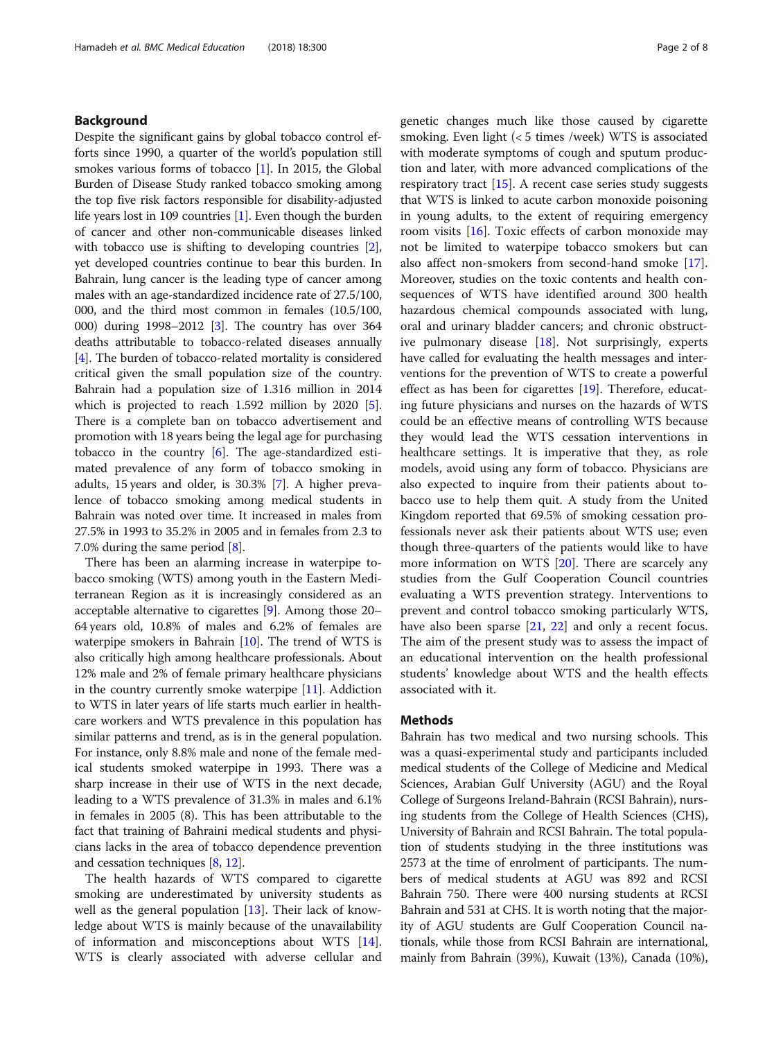# Background

Despite the significant gains by global tobacco control efforts since 1990, a quarter of the world's population still smokes various forms of tobacco [[1](#page-7-0)]. In 2015, the Global Burden of Disease Study ranked tobacco smoking among the top five risk factors responsible for disability-adjusted life years lost in 109 countries [\[1](#page-7-0)]. Even though the burden of cancer and other non-communicable diseases linked with tobacco use is shifting to developing countries [[2](#page-7-0)], yet developed countries continue to bear this burden. In Bahrain, lung cancer is the leading type of cancer among males with an age-standardized incidence rate of 27.5/100, 000, and the third most common in females (10.5/100, 000) during 1998–2012 [\[3](#page-7-0)]. The country has over 364 deaths attributable to tobacco-related diseases annually [[4\]](#page-7-0). The burden of tobacco-related mortality is considered critical given the small population size of the country. Bahrain had a population size of 1.316 million in 2014 which is projected to reach 1.[5](#page-7-0)92 million by 2020 [5]. There is a complete ban on tobacco advertisement and promotion with 18 years being the legal age for purchasing tobacco in the country [\[6\]](#page-7-0). The age-standardized estimated prevalence of any form of tobacco smoking in adults, 15 years and older, is 30.3% [[7\]](#page-7-0). A higher prevalence of tobacco smoking among medical students in Bahrain was noted over time. It increased in males from 27.5% in 1993 to 35.2% in 2005 and in females from 2.3 to 7.0% during the same period [\[8](#page-7-0)].

There has been an alarming increase in waterpipe tobacco smoking (WTS) among youth in the Eastern Mediterranean Region as it is increasingly considered as an acceptable alternative to cigarettes [\[9\]](#page-7-0). Among those 20– 64 years old, 10.8% of males and 6.2% of females are waterpipe smokers in Bahrain [\[10\]](#page-7-0). The trend of WTS is also critically high among healthcare professionals. About 12% male and 2% of female primary healthcare physicians in the country currently smoke waterpipe  $[11]$  $[11]$  $[11]$ . Addiction to WTS in later years of life starts much earlier in healthcare workers and WTS prevalence in this population has similar patterns and trend, as is in the general population. For instance, only 8.8% male and none of the female medical students smoked waterpipe in 1993. There was a sharp increase in their use of WTS in the next decade, leading to a WTS prevalence of 31.3% in males and 6.1% in females in 2005 (8). This has been attributable to the fact that training of Bahraini medical students and physicians lacks in the area of tobacco dependence prevention and cessation techniques [[8,](#page-7-0) [12](#page-7-0)].

The health hazards of WTS compared to cigarette smoking are underestimated by university students as well as the general population [[13\]](#page-7-0). Their lack of knowledge about WTS is mainly because of the unavailability of information and misconceptions about WTS [\[14](#page-7-0)]. WTS is clearly associated with adverse cellular and genetic changes much like those caused by cigarette smoking. Even light (< 5 times /week) WTS is associated with moderate symptoms of cough and sputum production and later, with more advanced complications of the respiratory tract [[15\]](#page-7-0). A recent case series study suggests that WTS is linked to acute carbon monoxide poisoning in young adults, to the extent of requiring emergency room visits [[16\]](#page-7-0). Toxic effects of carbon monoxide may not be limited to waterpipe tobacco smokers but can also affect non-smokers from second-hand smoke [\[17](#page-7-0)]. Moreover, studies on the toxic contents and health consequences of WTS have identified around 300 health hazardous chemical compounds associated with lung, oral and urinary bladder cancers; and chronic obstructive pulmonary disease [\[18](#page-7-0)]. Not surprisingly, experts have called for evaluating the health messages and interventions for the prevention of WTS to create a powerful effect as has been for cigarettes [\[19](#page-7-0)]. Therefore, educating future physicians and nurses on the hazards of WTS could be an effective means of controlling WTS because they would lead the WTS cessation interventions in healthcare settings. It is imperative that they, as role models, avoid using any form of tobacco. Physicians are also expected to inquire from their patients about tobacco use to help them quit. A study from the United Kingdom reported that 69.5% of smoking cessation professionals never ask their patients about WTS use; even though three-quarters of the patients would like to have more information on WTS [\[20\]](#page-7-0). There are scarcely any studies from the Gulf Cooperation Council countries evaluating a WTS prevention strategy. Interventions to prevent and control tobacco smoking particularly WTS, have also been sparse [\[21,](#page-7-0) [22\]](#page-7-0) and only a recent focus. The aim of the present study was to assess the impact of an educational intervention on the health professional students' knowledge about WTS and the health effects associated with it.

## Methods

Bahrain has two medical and two nursing schools. This was a quasi-experimental study and participants included medical students of the College of Medicine and Medical Sciences, Arabian Gulf University (AGU) and the Royal College of Surgeons Ireland-Bahrain (RCSI Bahrain), nursing students from the College of Health Sciences (CHS), University of Bahrain and RCSI Bahrain. The total population of students studying in the three institutions was 2573 at the time of enrolment of participants. The numbers of medical students at AGU was 892 and RCSI Bahrain 750. There were 400 nursing students at RCSI Bahrain and 531 at CHS. It is worth noting that the majority of AGU students are Gulf Cooperation Council nationals, while those from RCSI Bahrain are international, mainly from Bahrain (39%), Kuwait (13%), Canada (10%),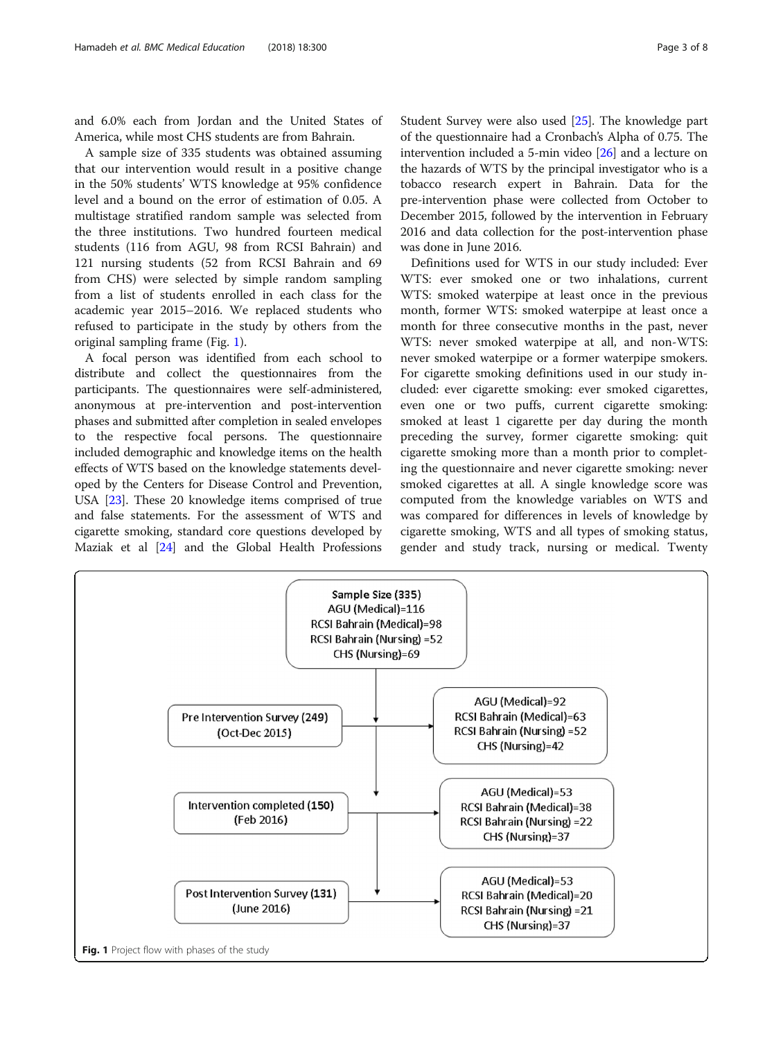and 6.0% each from Jordan and the United States of America, while most CHS students are from Bahrain.

A sample size of 335 students was obtained assuming that our intervention would result in a positive change in the 50% students' WTS knowledge at 95% confidence level and a bound on the error of estimation of 0.05. A multistage stratified random sample was selected from the three institutions. Two hundred fourteen medical students (116 from AGU, 98 from RCSI Bahrain) and 121 nursing students (52 from RCSI Bahrain and 69 from CHS) were selected by simple random sampling from a list of students enrolled in each class for the academic year 2015–2016. We replaced students who refused to participate in the study by others from the original sampling frame (Fig. 1).

A focal person was identified from each school to distribute and collect the questionnaires from the participants. The questionnaires were self-administered, anonymous at pre-intervention and post-intervention phases and submitted after completion in sealed envelopes to the respective focal persons. The questionnaire included demographic and knowledge items on the health effects of WTS based on the knowledge statements developed by the Centers for Disease Control and Prevention, USA [[23](#page-7-0)]. These 20 knowledge items comprised of true and false statements. For the assessment of WTS and cigarette smoking, standard core questions developed by Maziak et al [\[24](#page-7-0)] and the Global Health Professions Student Survey were also used [[25](#page-7-0)]. The knowledge part of the questionnaire had a Cronbach's Alpha of 0.75. The intervention included a 5-min video [[26](#page-7-0)] and a lecture on the hazards of WTS by the principal investigator who is a tobacco research expert in Bahrain. Data for the pre-intervention phase were collected from October to December 2015, followed by the intervention in February 2016 and data collection for the post-intervention phase was done in June 2016.

Definitions used for WTS in our study included: Ever WTS: ever smoked one or two inhalations, current WTS: smoked waterpipe at least once in the previous month, former WTS: smoked waterpipe at least once a month for three consecutive months in the past, never WTS: never smoked waterpipe at all, and non-WTS: never smoked waterpipe or a former waterpipe smokers. For cigarette smoking definitions used in our study included: ever cigarette smoking: ever smoked cigarettes, even one or two puffs, current cigarette smoking: smoked at least 1 cigarette per day during the month preceding the survey, former cigarette smoking: quit cigarette smoking more than a month prior to completing the questionnaire and never cigarette smoking: never smoked cigarettes at all. A single knowledge score was computed from the knowledge variables on WTS and was compared for differences in levels of knowledge by cigarette smoking, WTS and all types of smoking status, gender and study track, nursing or medical. Twenty

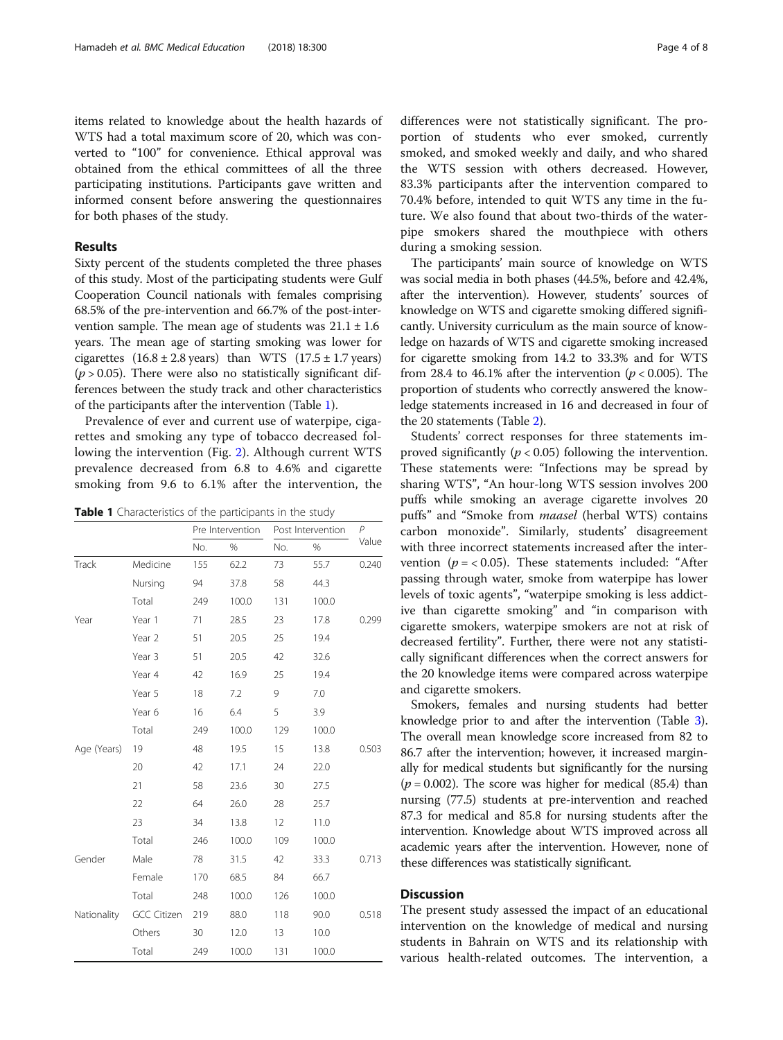items related to knowledge about the health hazards of WTS had a total maximum score of 20, which was converted to "100" for convenience. Ethical approval was obtained from the ethical committees of all the three participating institutions. Participants gave written and informed consent before answering the questionnaires for both phases of the study.

# Results

Sixty percent of the students completed the three phases of this study. Most of the participating students were Gulf Cooperation Council nationals with females comprising 68.5% of the pre-intervention and 66.7% of the post-intervention sample. The mean age of students was  $21.1 \pm 1.6$ years. The mean age of starting smoking was lower for cigarettes  $(16.8 \pm 2.8 \text{ years})$  than WTS  $(17.5 \pm 1.7 \text{ years})$  $(p > 0.05)$ . There were also no statistically significant differences between the study track and other characteristics of the participants after the intervention (Table 1).

Prevalence of ever and current use of waterpipe, cigarettes and smoking any type of tobacco decreased following the intervention (Fig. [2](#page-4-0)). Although current WTS prevalence decreased from 6.8 to 4.6% and cigarette smoking from 9.6 to 6.1% after the intervention, the

**Table 1** Characteristics of the participants in the study

|             |                    | Pre Intervention |       | Post Intervention | $\mathsf{P}$ |       |  |
|-------------|--------------------|------------------|-------|-------------------|--------------|-------|--|
|             |                    | No.              | $\%$  | No.               | $\%$         | Value |  |
| Track       | Medicine           | 155              | 62.2  | 73                | 55.7         | 0.240 |  |
|             | Nursing            | 94               | 37.8  | 58                | 44.3         |       |  |
|             | Total              | 249              | 100.0 | 131               | 100.0        |       |  |
| Year        | Year 1             | 71               | 28.5  | 23                | 17.8         | 0.299 |  |
|             | Year 2             | 51               | 20.5  | 25                | 19.4         |       |  |
|             | Year 3             | 51               | 20.5  | 42                | 32.6         |       |  |
|             | Year 4             | 42               | 16.9  | 25                | 19.4         |       |  |
|             | Year 5             | 18               | 7.2   | 9                 | 7.0          |       |  |
|             | Year 6             | 16               | 6.4   | 5                 | 3.9          |       |  |
|             | Total              | 249              | 100.0 | 129               | 100.0        |       |  |
| Age (Years) | 19                 | 48               | 19.5  | 15                | 13.8         | 0.503 |  |
|             | 20                 | 42               | 17.1  | 24                | 22.0         |       |  |
|             | 21                 | 58               | 23.6  | 30                | 27.5         |       |  |
|             | 22                 | 64               | 26.0  | 28                | 25.7         |       |  |
|             | 23                 | 34               | 13.8  | 12                | 11.0         |       |  |
|             | Total              | 246              | 100.0 | 109               | 100.0        |       |  |
| Gender      | Male               | 78               | 31.5  | 42                | 33.3         | 0.713 |  |
|             | Female             | 170              | 68.5  | 84                | 66.7         |       |  |
|             | Total              | 248              | 100.0 | 126               | 100.0        |       |  |
| Nationality | <b>GCC Citizen</b> | 219              | 88.0  | 118               | 90.0         | 0.518 |  |
|             | Others             | 30               | 12.0  | 13                | 10.0         |       |  |
|             | Total              | 249              | 100.0 | 131               | 100.0        |       |  |

differences were not statistically significant. The proportion of students who ever smoked, currently smoked, and smoked weekly and daily, and who shared the WTS session with others decreased. However, 83.3% participants after the intervention compared to 70.4% before, intended to quit WTS any time in the future. We also found that about two-thirds of the waterpipe smokers shared the mouthpiece with others during a smoking session.

The participants' main source of knowledge on WTS was social media in both phases (44.5%, before and 42.4%, after the intervention). However, students' sources of knowledge on WTS and cigarette smoking differed significantly. University curriculum as the main source of knowledge on hazards of WTS and cigarette smoking increased for cigarette smoking from 14.2 to 33.3% and for WTS from 28.4 to 46.1% after the intervention ( $p < 0.005$ ). The proportion of students who correctly answered the knowledge statements increased in 16 and decreased in four of the 20 statements (Table [2](#page-4-0)).

Students' correct responses for three statements improved significantly ( $p < 0.05$ ) following the intervention. These statements were: "Infections may be spread by sharing WTS", "An hour-long WTS session involves 200 puffs while smoking an average cigarette involves 20 puffs" and "Smoke from *maasel* (herbal WTS) contains carbon monoxide". Similarly, students' disagreement with three incorrect statements increased after the intervention ( $p = < 0.05$ ). These statements included: "After passing through water, smoke from waterpipe has lower levels of toxic agents", "waterpipe smoking is less addictive than cigarette smoking" and "in comparison with cigarette smokers, waterpipe smokers are not at risk of decreased fertility". Further, there were not any statistically significant differences when the correct answers for the 20 knowledge items were compared across waterpipe and cigarette smokers.

Smokers, females and nursing students had better knowledge prior to and after the intervention (Table [3](#page-5-0)). The overall mean knowledge score increased from 82 to 86.7 after the intervention; however, it increased marginally for medical students but significantly for the nursing  $(p = 0.002)$ . The score was higher for medical (85.4) than nursing (77.5) students at pre-intervention and reached 87.3 for medical and 85.8 for nursing students after the intervention. Knowledge about WTS improved across all academic years after the intervention. However, none of these differences was statistically significant.

# **Discussion**

The present study assessed the impact of an educational intervention on the knowledge of medical and nursing students in Bahrain on WTS and its relationship with various health-related outcomes. The intervention, a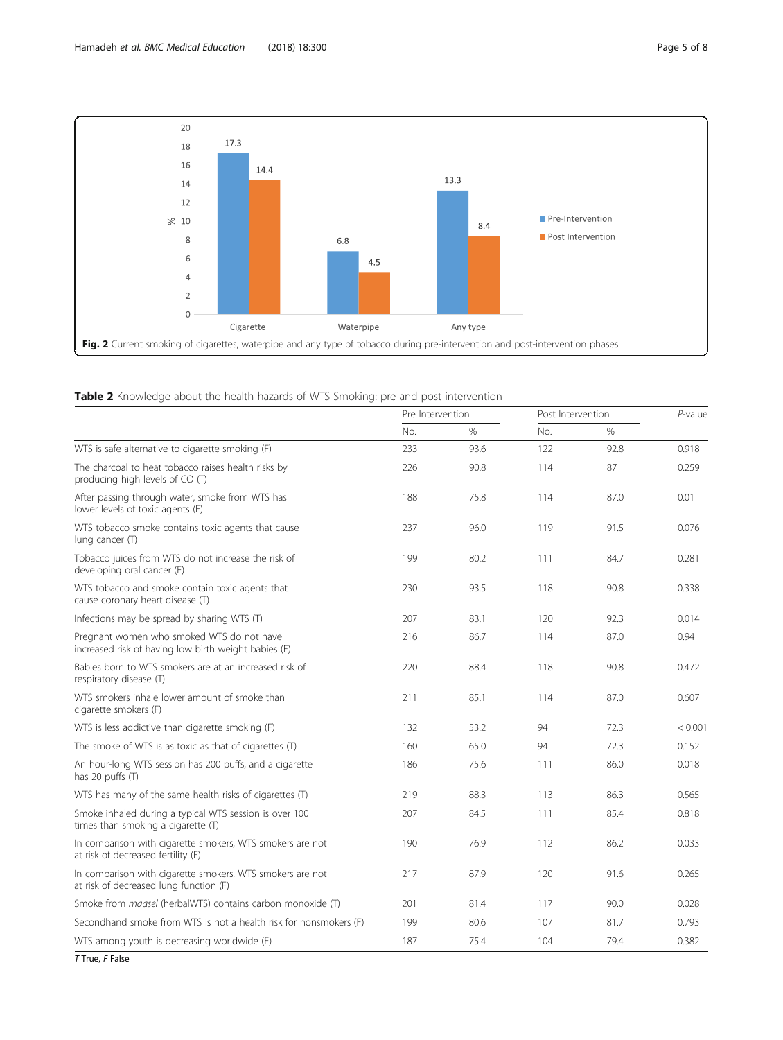<span id="page-4-0"></span>

# Table 2 Knowledge about the health hazards of WTS Smoking: pre and post intervention

|                                                                                                     | Pre Intervention |               | Post Intervention |      | P-value |  |
|-----------------------------------------------------------------------------------------------------|------------------|---------------|-------------------|------|---------|--|
|                                                                                                     | No.              | $\frac{0}{0}$ | No.               | $\%$ |         |  |
| WTS is safe alternative to cigarette smoking (F)                                                    | 233              | 93.6          | 122               | 92.8 | 0.918   |  |
| The charcoal to heat tobacco raises health risks by<br>producing high levels of CO (T)              | 226              | 90.8          | 114               | 87   | 0.259   |  |
| After passing through water, smoke from WTS has<br>lower levels of toxic agents (F)                 | 188              | 75.8          | 114               | 87.0 | 0.01    |  |
| WTS tobacco smoke contains toxic agents that cause<br>lung cancer (T)                               | 237              | 96.0          | 119               | 91.5 | 0.076   |  |
| Tobacco juices from WTS do not increase the risk of<br>developing oral cancer (F)                   | 199              | 80.2          | 111               | 84.7 | 0.281   |  |
| WTS tobacco and smoke contain toxic agents that<br>cause coronary heart disease (T)                 | 230              | 93.5          | 118               | 90.8 | 0.338   |  |
| Infections may be spread by sharing WTS (T)                                                         | 207              | 83.1          | 120               | 92.3 | 0.014   |  |
| Pregnant women who smoked WTS do not have<br>increased risk of having low birth weight babies (F)   | 216              | 86.7          | 114               | 87.0 | 0.94    |  |
| Babies born to WTS smokers are at an increased risk of<br>respiratory disease (T)                   | 220              | 88.4          | 118               | 90.8 | 0.472   |  |
| WTS smokers inhale lower amount of smoke than<br>cigarette smokers (F)                              | 211              | 85.1          | 114               | 87.0 | 0.607   |  |
| WTS is less addictive than cigarette smoking (F)                                                    | 132              | 53.2          | 94                | 72.3 | < 0.001 |  |
| The smoke of WTS is as toxic as that of cigarettes (T)                                              | 160              | 65.0          | 94                | 72.3 | 0.152   |  |
| An hour-long WTS session has 200 puffs, and a cigarette<br>has 20 puffs (T)                         | 186              | 75.6          | 111               | 86.0 | 0.018   |  |
| WTS has many of the same health risks of cigarettes (T)                                             | 219              | 88.3          | 113               | 86.3 | 0.565   |  |
| Smoke inhaled during a typical WTS session is over 100<br>times than smoking a cigarette (T)        | 207              | 84.5          | 111               | 85.4 | 0.818   |  |
| In comparison with cigarette smokers, WTS smokers are not<br>at risk of decreased fertility (F)     | 190              | 76.9          | 112               | 86.2 | 0.033   |  |
| In comparison with cigarette smokers, WTS smokers are not<br>at risk of decreased lung function (F) | 217              | 87.9          | 120               | 91.6 | 0.265   |  |
| Smoke from <i>maasel</i> (herbalWTS) contains carbon monoxide (T)                                   | 201              | 81.4          | 117               | 90.0 | 0.028   |  |
| Secondhand smoke from WTS is not a health risk for nonsmokers (F)                                   | 199              | 80.6          | 107               | 81.7 | 0.793   |  |
| WTS among youth is decreasing worldwide (F)                                                         | 187              | 75.4          | 104               | 79.4 | 0.382   |  |

T True, F False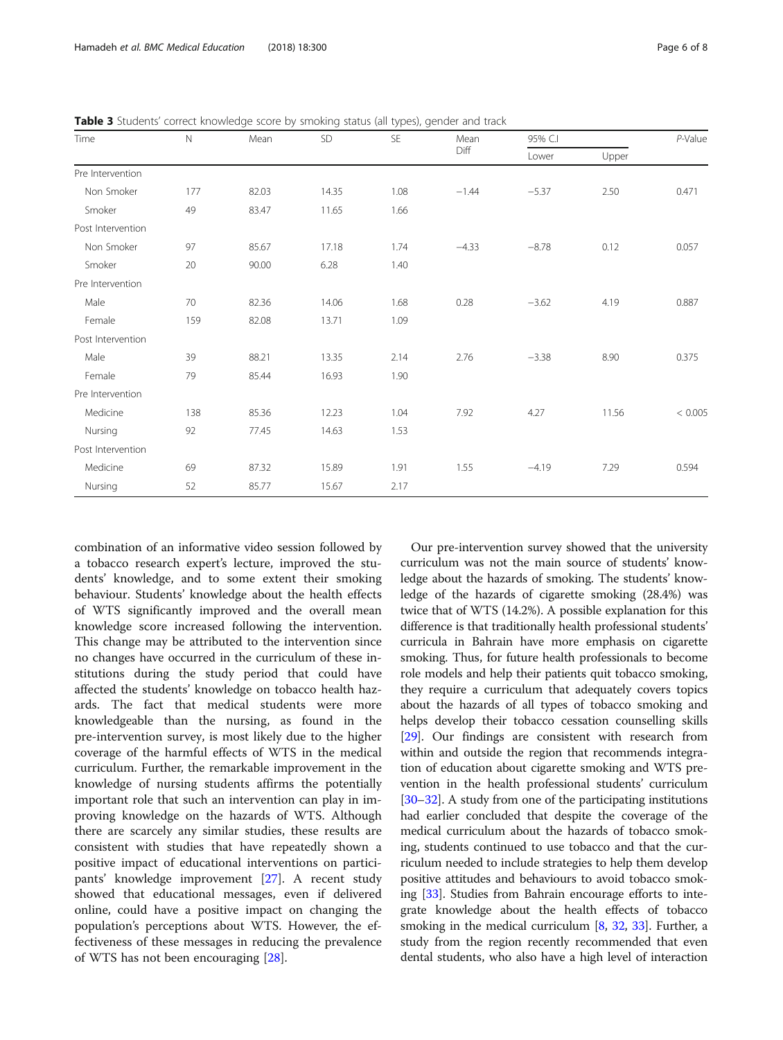| Time              | $\mathbb N$ | Mean  | SD    | SE   | Mean<br>Diff | 95% C.I |       | P-Value |
|-------------------|-------------|-------|-------|------|--------------|---------|-------|---------|
|                   |             |       |       |      |              | Lower   | Upper |         |
| Pre Intervention  |             |       |       |      |              |         |       |         |
| Non Smoker        | 177         | 82.03 | 14.35 | 1.08 | $-1.44$      | $-5.37$ | 2.50  | 0.471   |
| Smoker            | 49          | 83.47 | 11.65 | 1.66 |              |         |       |         |
| Post Intervention |             |       |       |      |              |         |       |         |
| Non Smoker        | 97          | 85.67 | 17.18 | 1.74 | $-4.33$      | $-8.78$ | 0.12  | 0.057   |
| Smoker            | 20          | 90.00 | 6.28  | 1.40 |              |         |       |         |
| Pre Intervention  |             |       |       |      |              |         |       |         |
| Male              | 70          | 82.36 | 14.06 | 1.68 | 0.28         | $-3.62$ | 4.19  | 0.887   |
| Female            | 159         | 82.08 | 13.71 | 1.09 |              |         |       |         |
| Post Intervention |             |       |       |      |              |         |       |         |
| Male              | 39          | 88.21 | 13.35 | 2.14 | 2.76         | $-3.38$ | 8.90  | 0.375   |
| Female            | 79          | 85.44 | 16.93 | 1.90 |              |         |       |         |
| Pre Intervention  |             |       |       |      |              |         |       |         |
| Medicine          | 138         | 85.36 | 12.23 | 1.04 | 7.92         | 4.27    | 11.56 | < 0.005 |
| Nursing           | 92          | 77.45 | 14.63 | 1.53 |              |         |       |         |
| Post Intervention |             |       |       |      |              |         |       |         |
| Medicine          | 69          | 87.32 | 15.89 | 1.91 | 1.55         | $-4.19$ | 7.29  | 0.594   |
| Nursing           | 52          | 85.77 | 15.67 | 2.17 |              |         |       |         |

<span id="page-5-0"></span>Table 3 Students' correct knowledge score by smoking status (all types), gender and track

combination of an informative video session followed by a tobacco research expert's lecture, improved the students' knowledge, and to some extent their smoking behaviour. Students' knowledge about the health effects of WTS significantly improved and the overall mean knowledge score increased following the intervention. This change may be attributed to the intervention since no changes have occurred in the curriculum of these institutions during the study period that could have affected the students' knowledge on tobacco health hazards. The fact that medical students were more knowledgeable than the nursing, as found in the pre-intervention survey, is most likely due to the higher coverage of the harmful effects of WTS in the medical curriculum. Further, the remarkable improvement in the knowledge of nursing students affirms the potentially important role that such an intervention can play in improving knowledge on the hazards of WTS. Although there are scarcely any similar studies, these results are consistent with studies that have repeatedly shown a positive impact of educational interventions on participants' knowledge improvement [[27](#page-7-0)]. A recent study showed that educational messages, even if delivered online, could have a positive impact on changing the population's perceptions about WTS. However, the effectiveness of these messages in reducing the prevalence of WTS has not been encouraging [[28](#page-7-0)].

Our pre-intervention survey showed that the university curriculum was not the main source of students' knowledge about the hazards of smoking. The students' knowledge of the hazards of cigarette smoking (28.4%) was twice that of WTS (14.2%). A possible explanation for this difference is that traditionally health professional students' curricula in Bahrain have more emphasis on cigarette smoking. Thus, for future health professionals to become role models and help their patients quit tobacco smoking, they require a curriculum that adequately covers topics about the hazards of all types of tobacco smoking and helps develop their tobacco cessation counselling skills [[29](#page-7-0)]. Our findings are consistent with research from within and outside the region that recommends integration of education about cigarette smoking and WTS prevention in the health professional students' curriculum [[30](#page-7-0)–[32\]](#page-7-0). A study from one of the participating institutions had earlier concluded that despite the coverage of the medical curriculum about the hazards of tobacco smoking, students continued to use tobacco and that the curriculum needed to include strategies to help them develop positive attitudes and behaviours to avoid tobacco smoking [\[33\]](#page-7-0). Studies from Bahrain encourage efforts to integrate knowledge about the health effects of tobacco smoking in the medical curriculum [\[8](#page-7-0), [32](#page-7-0), [33\]](#page-7-0). Further, a study from the region recently recommended that even dental students, who also have a high level of interaction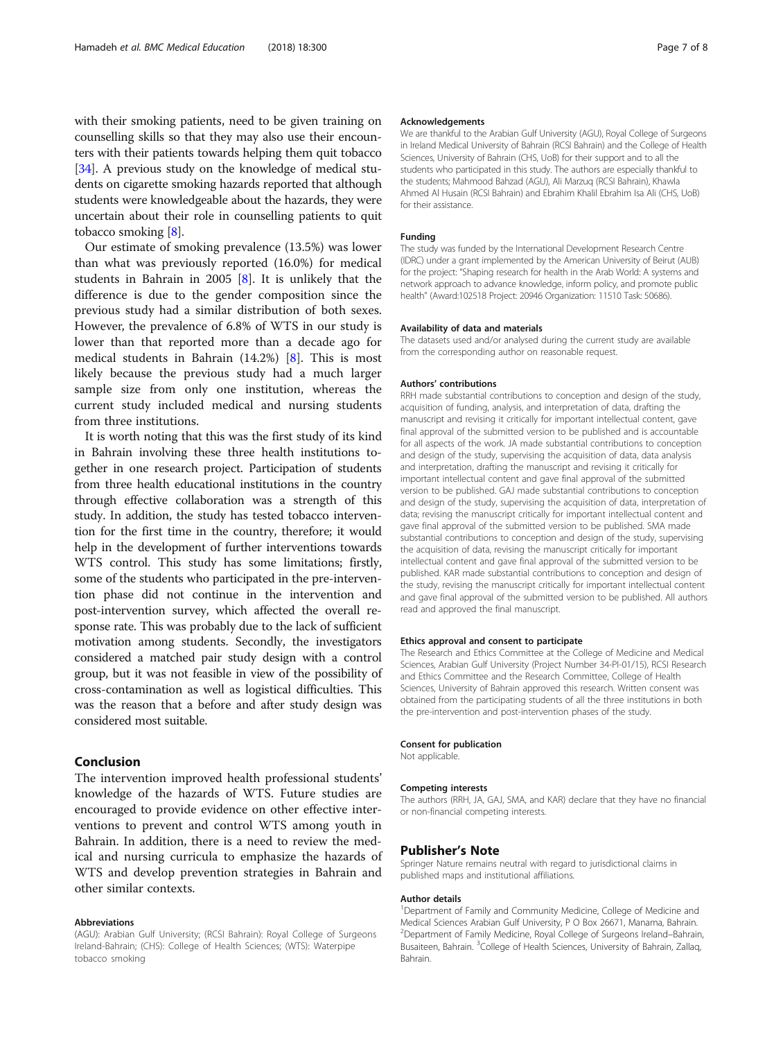with their smoking patients, need to be given training on counselling skills so that they may also use their encounters with their patients towards helping them quit tobacco [[34](#page-7-0)]. A previous study on the knowledge of medical students on cigarette smoking hazards reported that although students were knowledgeable about the hazards, they were uncertain about their role in counselling patients to quit tobacco smoking [\[8\]](#page-7-0).

Our estimate of smoking prevalence (13.5%) was lower than what was previously reported (16.0%) for medical students in Bahrain in 2005 [[8\]](#page-7-0). It is unlikely that the difference is due to the gender composition since the previous study had a similar distribution of both sexes. However, the prevalence of 6.8% of WTS in our study is lower than that reported more than a decade ago for medical students in Bahrain (14.2%) [[8\]](#page-7-0). This is most likely because the previous study had a much larger sample size from only one institution, whereas the current study included medical and nursing students from three institutions.

It is worth noting that this was the first study of its kind in Bahrain involving these three health institutions together in one research project. Participation of students from three health educational institutions in the country through effective collaboration was a strength of this study. In addition, the study has tested tobacco intervention for the first time in the country, therefore; it would help in the development of further interventions towards WTS control. This study has some limitations; firstly, some of the students who participated in the pre-intervention phase did not continue in the intervention and post-intervention survey, which affected the overall response rate. This was probably due to the lack of sufficient motivation among students. Secondly, the investigators considered a matched pair study design with a control group, but it was not feasible in view of the possibility of cross-contamination as well as logistical difficulties. This was the reason that a before and after study design was considered most suitable.

# Conclusion

The intervention improved health professional students' knowledge of the hazards of WTS. Future studies are encouraged to provide evidence on other effective interventions to prevent and control WTS among youth in Bahrain. In addition, there is a need to review the medical and nursing curricula to emphasize the hazards of WTS and develop prevention strategies in Bahrain and other similar contexts.

#### Abbreviations

(AGU): Arabian Gulf University; (RCSI Bahrain): Royal College of Surgeons Ireland-Bahrain; (CHS): College of Health Sciences; (WTS): Waterpipe tobacco smoking

#### Acknowledgements

We are thankful to the Arabian Gulf University (AGU), Royal College of Surgeons in Ireland Medical University of Bahrain (RCSI Bahrain) and the College of Health Sciences, University of Bahrain (CHS, UoB) for their support and to all the students who participated in this study. The authors are especially thankful to the students; Mahmood Bahzad (AGU), Ali Marzuq (RCSI Bahrain), Khawla Ahmed Al Husain (RCSI Bahrain) and Ebrahim Khalil Ebrahim Isa Ali (CHS, UoB) for their assistance.

#### Funding

The study was funded by the International Development Research Centre (IDRC) under a grant implemented by the American University of Beirut (AUB) for the project: "Shaping research for health in the Arab World: A systems and network approach to advance knowledge, inform policy, and promote public health" (Award:102518 Project: 20946 Organization: 11510 Task: 50686).

#### Availability of data and materials

The datasets used and/or analysed during the current study are available from the corresponding author on reasonable request.

#### Authors' contributions

RRH made substantial contributions to conception and design of the study. acquisition of funding, analysis, and interpretation of data, drafting the manuscript and revising it critically for important intellectual content, gave final approval of the submitted version to be published and is accountable for all aspects of the work. JA made substantial contributions to conception and design of the study, supervising the acquisition of data, data analysis and interpretation, drafting the manuscript and revising it critically for important intellectual content and gave final approval of the submitted version to be published. GAJ made substantial contributions to conception and design of the study, supervising the acquisition of data, interpretation of data; revising the manuscript critically for important intellectual content and gave final approval of the submitted version to be published. SMA made substantial contributions to conception and design of the study, supervising the acquisition of data, revising the manuscript critically for important intellectual content and gave final approval of the submitted version to be published. KAR made substantial contributions to conception and design of the study, revising the manuscript critically for important intellectual content and gave final approval of the submitted version to be published. All authors read and approved the final manuscript.

#### Ethics approval and consent to participate

The Research and Ethics Committee at the College of Medicine and Medical Sciences, Arabian Gulf University (Project Number 34-PI-01/15), RCSI Research and Ethics Committee and the Research Committee, College of Health Sciences, University of Bahrain approved this research. Written consent was obtained from the participating students of all the three institutions in both the pre-intervention and post-intervention phases of the study.

#### Consent for publication

Not applicable.

#### Competing interests

The authors (RRH, JA, GAJ, SMA, and KAR) declare that they have no financial or non-financial competing interests.

## Publisher's Note

Springer Nature remains neutral with regard to jurisdictional claims in published maps and institutional affiliations.

#### Author details

<sup>1</sup>Department of Family and Community Medicine, College of Medicine and Medical Sciences Arabian Gulf University, P O Box 26671, Manama, Bahrain. <sup>2</sup>Department of Family Medicine, Royal College of Surgeons Ireland-Bahrain Busaiteen, Bahrain. <sup>3</sup>College of Health Sciences, University of Bahrain, Zallaq Bahrain.